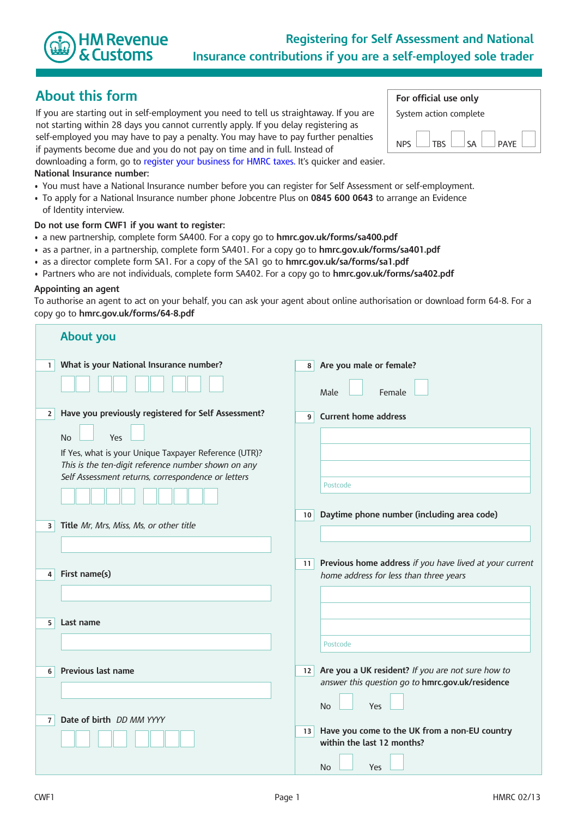

# **About this form**

If you are starting out in self-employment you need to tell us straightaway. If you are not starting within 28 days you cannot currently apply. If you delay registering as self-employed you may have to pay a penalty. You may have to pay further penalties

if payments become due and you do not pay on time and in full. Instead of

downloading a form, go to [register your business for HMRC taxes.](http://hmrc.gov.uk/online/new.htm) It's quicker and easier.

#### **National Insurance number:**

- You must have a National Insurance number before you can register for Self Assessment or self-employment.
- To apply for a National Insurance number phone Jobcentre Plus on **0845 600 0643** to arrange an Evidence of Identity interview.

#### **Do not use form CWF1 if you want to register:**

- a new partnership, complete form SA400. For a copy go to **<hmrc.gov.uk/forms/sa400.pdf>**
- as a partner, in a partnership, complete form SA401. For a copy go to **<hmrc.gov.uk/forms/sa401.pdf>**
- as a director complete form SA1. For a copy of the SA1 go to **[hmrc.gov.uk/sa/forms/sa1.pdf](http://hmrc.gov.uk/sa/forms/sa1.pdf)**
- Partners who are not individuals, complete form SA402. For a copy go to **<hmrc.gov.uk/forms/sa402.pdf>**

#### **Appointing an agent**

To authorise an agent to act on your behalf, you can ask your agent about online authorisation or download form 64-8. For a copy go to **<hmrc.gov.uk/forms/64-8.pdf>**

|                | <b>About you</b>                                                                                             |                 |                                                                             |
|----------------|--------------------------------------------------------------------------------------------------------------|-----------------|-----------------------------------------------------------------------------|
| 1 <sup>1</sup> | What is your National Insurance number?                                                                      | 8 <sup>1</sup>  | Are you male or female?                                                     |
|                |                                                                                                              |                 | Female<br>Male                                                              |
| 2 <sup>1</sup> | Have you previously registered for Self Assessment?                                                          | 9 <sup>1</sup>  | <b>Current home address</b>                                                 |
|                | Yes<br><b>No</b>                                                                                             |                 |                                                                             |
|                | If Yes, what is your Unique Taxpayer Reference (UTR)?<br>This is the ten-digit reference number shown on any |                 |                                                                             |
|                | Self Assessment returns, correspondence or letters                                                           |                 |                                                                             |
|                |                                                                                                              |                 | Postcode                                                                    |
|                |                                                                                                              | 10              | Daytime phone number (including area code)                                  |
| 3              | Title Mr, Mrs, Miss, Ms, or other title                                                                      |                 |                                                                             |
|                |                                                                                                              |                 |                                                                             |
|                | First name(s)                                                                                                | 11              | Previous home address if you have lived at your current                     |
| 4 <sup>1</sup> |                                                                                                              |                 | home address for less than three years                                      |
|                |                                                                                                              |                 |                                                                             |
| 5 <sup>1</sup> | Last name                                                                                                    |                 |                                                                             |
|                |                                                                                                              |                 | Postcode                                                                    |
|                |                                                                                                              |                 |                                                                             |
| 6              | Previous last name                                                                                           | 12 <sub>1</sub> | Are you a UK resident? If you are not sure how to                           |
|                |                                                                                                              |                 | answer this question go to hmrc.gov.uk/residence                            |
|                |                                                                                                              |                 | <b>No</b><br>Yes                                                            |
| 7 <sup>1</sup> | Date of birth DD MM YYYY                                                                                     |                 |                                                                             |
|                |                                                                                                              | 13              | Have you come to the UK from a non-EU country<br>within the last 12 months? |
|                |                                                                                                              |                 | No<br>Yes                                                                   |

| For official use only  |  |             |  |     |  |             |  |
|------------------------|--|-------------|--|-----|--|-------------|--|
| System action complete |  |             |  |     |  |             |  |
|                        |  |             |  |     |  |             |  |
| <b>NPS</b>             |  | $ $ TRS $ $ |  | ∣⊂∆ |  | <b>PAYF</b> |  |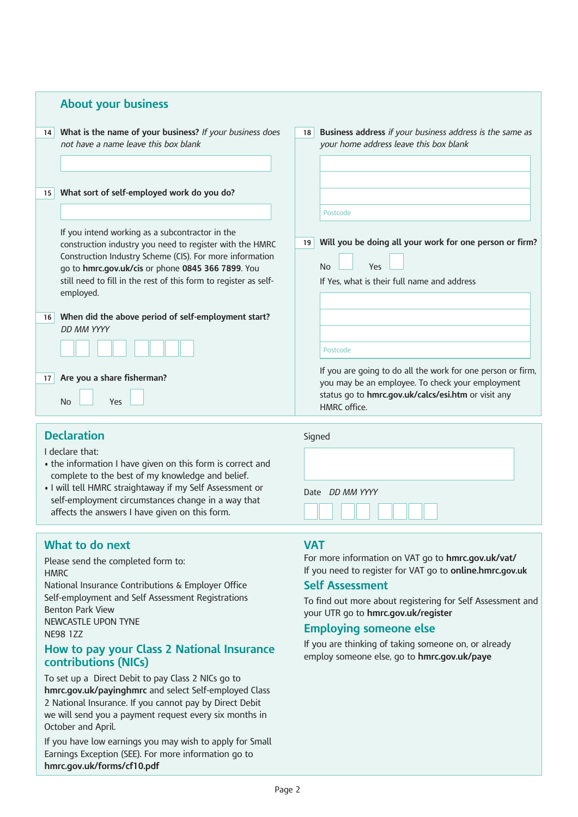|                       | <b>About your business</b>                                                                                                                                                                                                                                                                                                                                  |                 |                                                                                                                                                                                                    |
|-----------------------|-------------------------------------------------------------------------------------------------------------------------------------------------------------------------------------------------------------------------------------------------------------------------------------------------------------------------------------------------------------|-----------------|----------------------------------------------------------------------------------------------------------------------------------------------------------------------------------------------------|
| 14                    | What is the name of your business? If your business does<br>not have a name leave this box blank                                                                                                                                                                                                                                                            | 18              | Business address if your business address is the same as<br>your home address leave this box blank                                                                                                 |
| 15                    | What sort of self-employed work do you do?<br>If you intend working as a subcontractor in the<br>construction industry you need to register with the HMRC<br>Construction Industry Scheme (CIS). For more information<br>go to hmrc.gov.uk/cis or phone 0845 366 7899. You<br>still need to fill in the rest of this form to register as self-<br>employed. | 19 <sup>1</sup> | Postcode<br>Will you be doing all your work for one person or firm?<br>No<br>Yes<br>If Yes, what is their full name and address                                                                    |
| 16<br>17 <sup>1</sup> | When did the above period of self-employment start?<br>DD MM YYYY<br>Are you a share fisherman?<br>No<br>Yes                                                                                                                                                                                                                                                |                 | Postcode<br>If you are going to do all the work for one person or firm,<br>you may be an employee. To check your employment<br>status go to hmrc.gov.uk/calcs/esi.htm or visit any<br>HMRC office. |

# **Declaration**

I declare that:

- the information I have given on this form is correct and complete to the best of my knowledge and belief.
- I will tell HMRC straightaway if my Self Assessment or self-employment circumstances change in a way that affects the answers I have given on this form.

## **What to do next**

Please send the completed form to: **HMRC** National Insurance Contributions & Employer Office Self-employment and Self Assessment Registrations Benton Park View NEWCASTLE UPON TYNE NE98 1ZZ

### **How to pay your Class 2 National Insurance contributions (NICs)**

To set up a Direct Debit to pay Class 2 NICs go to **[hmrc.gov.uk/payinghmrc](http://hmrc.gov.uk/payinghmrc)** and select Self-employed Class 2 National Insurance. If you cannot pay by Direct Debit we will send you a payment request every six months in October and April.

If you have low earnings you may wish to apply for Small Earnings Exception (SEE). For more information go to **[hmrc.gov.uk/forms/cf10.pdf](http://hmrc.gov.uk/forms/cf10.pdf)**

#### **VAT**

Signed

For more information on VAT go to **[hmrc.gov.uk/vat/](http://hmrc.gov.uk/vat/)** If you need to register for VAT go to **[online.hmrc.gov.uk](http://online.hmrc.gov.uk)**

## **Self Assessment**

Date*DD MM YYYY* 

To find out more about registering for Self Assessment and your UTR go to **[hmrc.gov.uk/register](http://hmrc.gov.uk/register)**

#### **Employing someone else**

If you are thinking of taking someone on, or already employ someone else, go to **[hmrc.gov.uk/paye](http://hmrc.gov.uk/paye)**